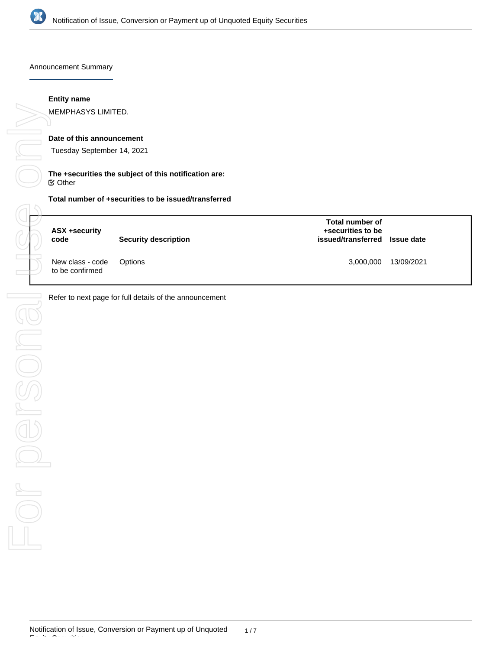

Announcement Summary

#### **Entity name**

MEMPHASYS LIMITED.

# **Date of this announcement**

Tuesday September 14, 2021

#### **The +securities the subject of this notification are:** Other

| ASX +security<br>code               | <b>Security description</b> | Total number of<br>+securities to be<br>issued/transferred Issue date |            |
|-------------------------------------|-----------------------------|-----------------------------------------------------------------------|------------|
| New class - code<br>to be confirmed | Options                     | 3,000,000                                                             | 13/09/2021 |

Refer to next page for full details of the announcement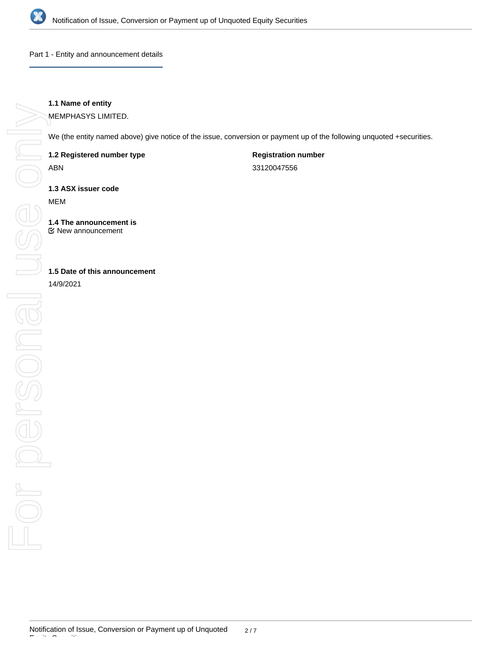

Part 1 - Entity and announcement details

# **1.1 Name of entity**

MEMPHASYS LIMITED.

We (the entity named above) give notice of the issue, conversion or payment up of the following unquoted +securities.

**1.2 Registered number type**

ABN

**Registration number**

33120047556

**1.3 ASX issuer code**

MEM

**1.4 The announcement is** New announcement

**1.5 Date of this announcement**

14/9/2021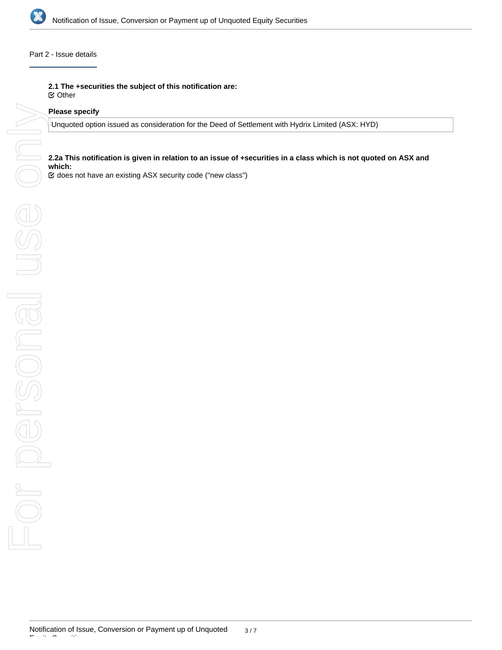

### Part 2 - Issue details

**2.1 The +securities the subject of this notification are:**

Other

#### **Please specify**

Unquoted option issued as consideration for the Deed of Settlement with Hydrix Limited (ASX: HYD)

# **2.2a This notification is given in relation to an issue of +securities in a class which is not quoted on ASX and which:**

does not have an existing ASX security code ("new class")

Equity Securities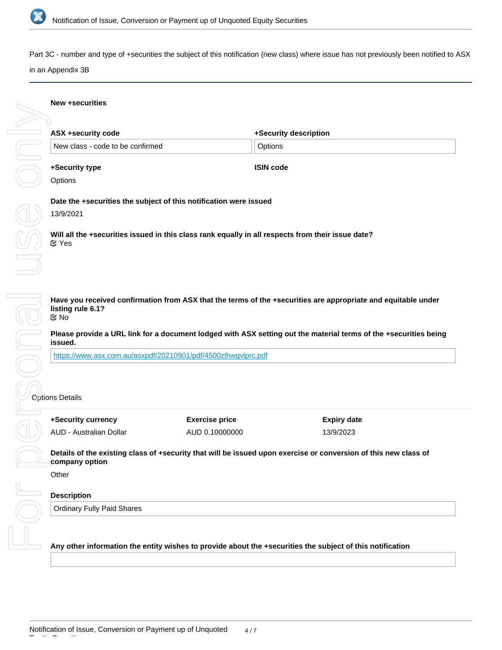

e on

Part 3C - number and type of +securities the subject of this notification (new class) where issue has not previously been notified to ASX

#### in an Appendix 3B

#### **New +securities**

| ASX +security code               | +Security description |  |
|----------------------------------|-----------------------|--|
| New class - code to be confirmed | Options               |  |
| +Security type                   | <b>ISIN code</b>      |  |

# **Options**

**Date the +securities the subject of this notification were issued**

13/9/2021

**Will all the +securities issued in this class rank equally in all respects from their issue date?** Yes

**Have you received confirmation from ASX that the terms of the +securities are appropriate and equitable under listing rule 6.1?** No

**Please provide a URL link for a document lodged with ASX setting out the material terms of the +securities being issued.**

<https://www.asx.com.au/asxpdf/20210901/pdf/4500zlhwgvlprc.pdf>

# Options Details

| +Security currency      | <b>Exercise price</b> | Expiry date |
|-------------------------|-----------------------|-------------|
| AUD - Australian Dollar | AUD 0.10000000        | 13/9/2023   |

**Details of the existing class of +security that will be issued upon exercise or conversion of this new class of company option**

**Other** 

Equity Securities

# **Description**

Ordinary Fully Paid Shares

**Any other information the entity wishes to provide about the +securities the subject of this notification**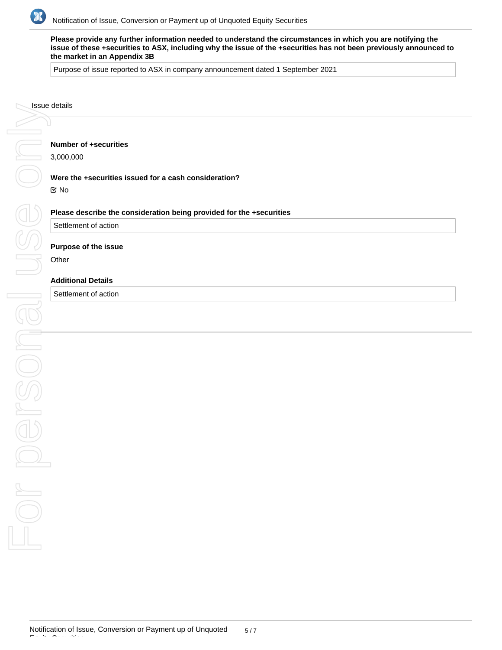

**Please provide any further information needed to understand the circumstances in which you are notifying the issue of these +securities to ASX, including why the issue of the +securities has not been previously announced to the market in an Appendix 3B**

Purpose of issue reported to ASX in company announcement dated 1 September 2021

# **Number of +securities**

3,000,000

#### **Were the +securities issued for a cash consideration?**

No

#### **Please describe the consideration being provided for the +securities**

Settlement of action

#### **Purpose of the issue**

**Other** 

### **Additional Details**

Settlement of action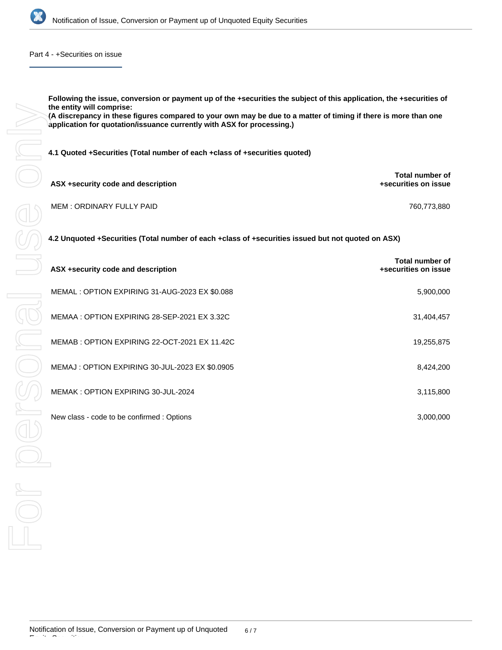

Part 4 - +Securities on issue

**Following the issue, conversion or payment up of the +securities the subject of this application, the +securities of the entity will comprise: (A discrepancy in these figures compared to your own may be due to a matter of timing if there is more than one application for quotation/issuance currently with ASX for processing.)**

**4.1 Quoted +Securities (Total number of each +class of +securities quoted)**

| ASX +security code and description | Total number of<br>+securities on issue |
|------------------------------------|-----------------------------------------|
| MEM: ORDINARY FULLY PAID           | 760.773.880                             |

| 4.2 Unquoted +Securities (Total number of each +class of +securities issued but not quoted on ASX) |                                                |  |  |
|----------------------------------------------------------------------------------------------------|------------------------------------------------|--|--|
| ASX +security code and description                                                                 | <b>Total number of</b><br>+securities on issue |  |  |
| MEMAL : OPTION EXPIRING 31-AUG-2023 EX \$0.088                                                     | 5,900,000                                      |  |  |
| MEMAA : OPTION EXPIRING 28-SEP-2021 EX 3.32C                                                       | 31,404,457                                     |  |  |
| MEMAB : OPTION EXPIRING 22-OCT-2021 EX 11.42C                                                      | 19,255,875                                     |  |  |
| MEMAJ : OPTION EXPIRING 30-JUL-2023 EX \$0.0905                                                    | 8,424,200                                      |  |  |
| MEMAK : OPTION EXPIRING 30-JUL-2024                                                                | 3,115,800                                      |  |  |
| New class - code to be confirmed : Options                                                         | 3,000,000                                      |  |  |
|                                                                                                    |                                                |  |  |
|                                                                                                    |                                                |  |  |
|                                                                                                    |                                                |  |  |
|                                                                                                    |                                                |  |  |

Equity Securities